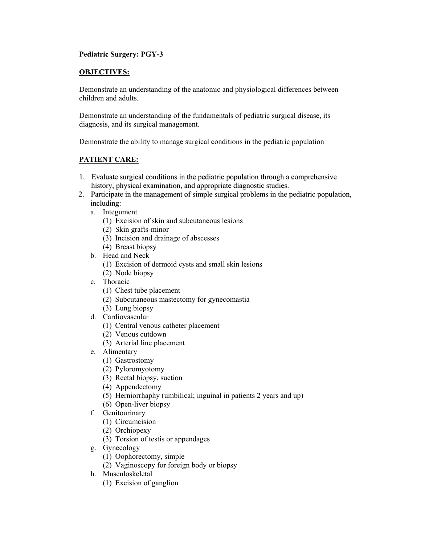## **Pediatric Surgery: PGY-3**

## **OBJECTIVES:**

Demonstrate an understanding of the anatomic and physiological differences between children and adults.

Demonstrate an understanding of the fundamentals of pediatric surgical disease, its diagnosis, and its surgical management.

Demonstrate the ability to manage surgical conditions in the pediatric population

## **PATIENT CARE:**

- 1. Evaluate surgical conditions in the pediatric population through a comprehensive history, physical examination, and appropriate diagnostic studies.
- 2. Participate in the management of simple surgical problems in the pediatric population, including:
	- a. Integument
		- (1) Excision of skin and subcutaneous lesions
		- (2) Skin grafts-minor
		- (3) Incision and drainage of abscesses
		- (4) Breast biopsy
	- b. Head and Neck
		- (1) Excision of dermoid cysts and small skin lesions
		- (2) Node biopsy
	- c. Thoracic
		- (1) Chest tube placement
		- (2) Subcutaneous mastectomy for gynecomastia
		- (3) Lung biopsy
	- d. Cardiovascular
		- (1) Central venous catheter placement
		- (2) Venous cutdown
		- (3) Arterial line placement
	- e. Alimentary
		- (1) Gastrostomy
		- (2) Pyloromyotomy
		- (3) Rectal biopsy, suction
		- (4) Appendectomy
		- (5) Herniorrhaphy (umbilical; inguinal in patients 2 years and up)
		- (6) Open-liver biopsy
	- f. Genitourinary
		- (1) Circumcision
		- (2) Orchiopexy
		- (3) Torsion of testis or appendages
	- g. Gynecology
		- (1) Oophorectomy, simple
		- (2) Vaginoscopy for foreign body or biopsy
	- h. Musculoskeletal
		- (1) Excision of ganglion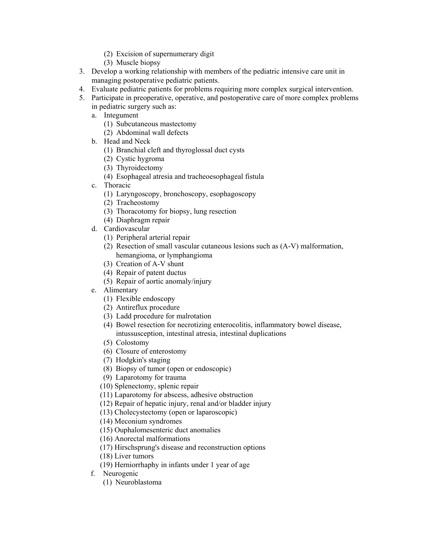- (2) Excision of supernumerary digit
- (3) Muscle biopsy
- 3. Develop a working relationship with members of the pediatric intensive care unit in managing postoperative pediatric patients.
- 4. Evaluate pediatric patients for problems requiring more complex surgical intervention.
- 5. Participate in preoperative, operative, and postoperative care of more complex problems in pediatric surgery such as:
	- a. Integument
		- (1) Subcutaneous mastectomy
		- (2) Abdominal wall defects
	- b. Head and Neck
		- (1) Branchial cleft and thyroglossal duct cysts
		- (2) Cystic hygroma
		- (3) Thyroidectomy
		- (4) Esophageal atresia and tracheoesophageal fistula
	- c. Thoracic
		- (1) Laryngoscopy, bronchoscopy, esophagoscopy
		- (2) Tracheostomy
		- (3) Thoracotomy for biopsy, lung resection
		- (4) Diaphragm repair
	- d. Cardiovascular
		- (1) Peripheral arterial repair
		- (2) Resection of small vascular cutaneous lesions such as (A-V) malformation, hemangioma, or lymphangioma
		- (3) Creation of A-V shunt
		- (4) Repair of patent ductus
		- (5) Repair of aortic anomaly/injury
	- e. Alimentary
		- (1) Flexible endoscopy
		- (2) Antireflux procedure
		- (3) Ladd procedure for malrotation
		- (4) Bowel resection for necrotizing enterocolitis, inflammatory bowel disease, intussusception, intestinal atresia, intestinal duplications
		- (5) Colostomy
		- (6) Closure of enterostomy
		- (7) Hodgkin's staging
		- (8) Biopsy of tumor (open or endoscopic)
		- (9) Laparotomy for trauma
		- (10) Splenectomy, splenic repair
		- (11) Laparotomy for abscess, adhesive obstruction
		- (12) Repair of hepatic injury, renal and/or bladder injury
		- (13) Cholecystectomy (open or laparoscopic)
		- (14) Meconium syndromes
		- (15) Ouphalomesenteric duct anomalies
		- (16) Anorectal malformations
		- (17) Hirschsprung's disease and reconstruction options
		- (18) Liver tumors
		- (19) Herniorrhaphy in infants under 1 year of age
	- f. Neurogenic
		- (1) Neuroblastoma